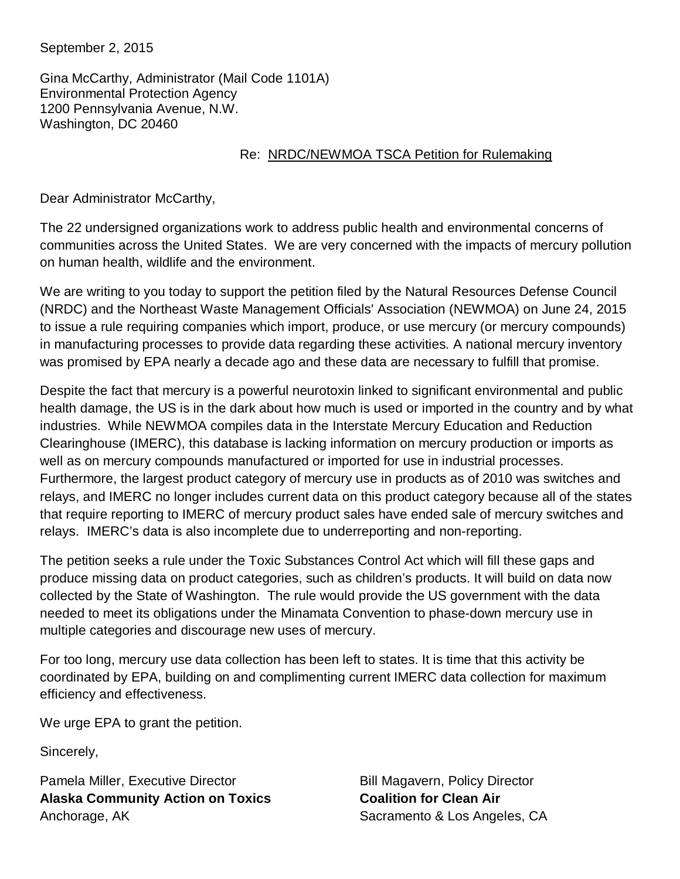September 2, 2015

Gina McCarthy, Administrator (Mail Code 1101A) Environmental Protection Agency 1200 Pennsylvania Avenue, N.W. Washington, DC 20460

## Re: NRDC/NEWMOA TSCA Petition for Rulemaking

Dear Administrator McCarthy,

The 22 undersigned organizations work to address public health and environmental concerns of communities across the United States. We are very concerned with the impacts of mercury pollution on human health, wildlife and the environment.

We are writing to you today to support the petition filed by the Natural Resources Defense Council (NRDC) and the Northeast Waste Management Officials' Association (NEWMOA) on June 24, 2015 to issue a rule requiring companies which import, produce, or use mercury (or mercury compounds) in manufacturing processes to provide data regarding these activities. A national mercury inventory was promised by EPA nearly a decade ago and these data are necessary to fulfill that promise.

Despite the fact that mercury is a powerful neurotoxin linked to significant environmental and public health damage, the US is in the dark about how much is used or imported in the country and by what industries. While NEWMOA compiles data in the Interstate Mercury Education and Reduction Clearinghouse (IMERC), this database is lacking information on mercury production or imports as well as on mercury compounds manufactured or imported for use in industrial processes. Furthermore, the largest product category of mercury use in products as of 2010 was switches and relays, and IMERC no longer includes current data on this product category because all of the states that require reporting to IMERC of mercury product sales have ended sale of mercury switches and relays. IMERC's data is also incomplete due to underreporting and non-reporting.

The petition seeks a rule under the Toxic Substances Control Act which will fill these gaps and produce missing data on product categories, such as children's products. It will build on data now collected by the State of Washington. The rule would provide the US government with the data needed to meet its obligations under the Minamata Convention to phase-down mercury use in multiple categories and discourage new uses of mercury.

For too long, mercury use data collection has been left to states. It is time that this activity be coordinated by EPA, building on and complimenting current IMERC data collection for maximum efficiency and effectiveness.

We urge EPA to grant the petition.

Sincerely,

Pamela Miller, Executive Director **Alaska Community Action on Toxics** Anchorage, AK

Bill Magavern, Policy Director **Coalition for Clean Air** Sacramento & Los Angeles, CA